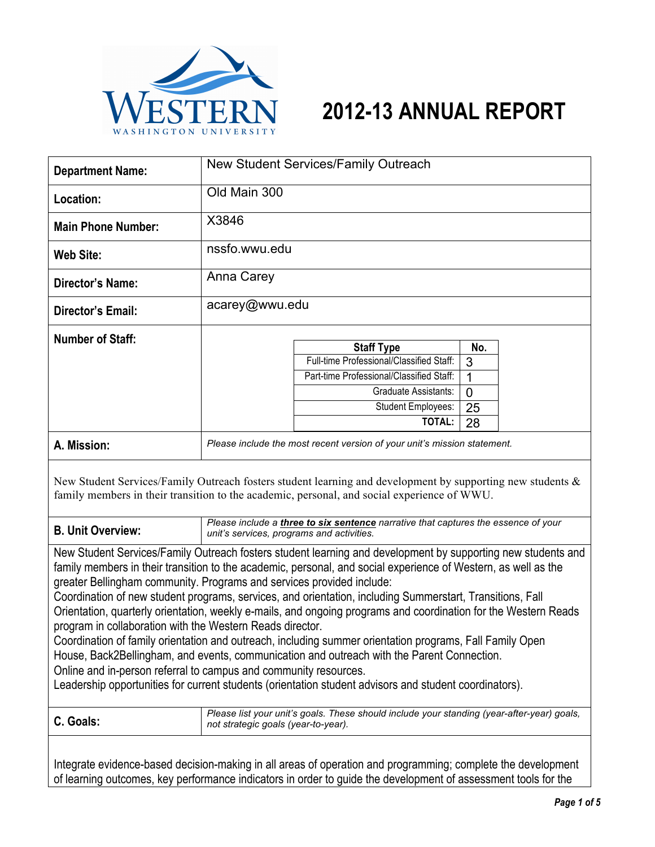

| WASHINGTON UNIVER                                                                                                                                                                                                                                                                                                                                                                                                                                                                                                                                                                                                                                                                                                                                                                                                                                                                                                                                                                            | VESTERN<br>2012-13 ANNUAL REPORT                                                                                                                                                                           |  |  |  |
|----------------------------------------------------------------------------------------------------------------------------------------------------------------------------------------------------------------------------------------------------------------------------------------------------------------------------------------------------------------------------------------------------------------------------------------------------------------------------------------------------------------------------------------------------------------------------------------------------------------------------------------------------------------------------------------------------------------------------------------------------------------------------------------------------------------------------------------------------------------------------------------------------------------------------------------------------------------------------------------------|------------------------------------------------------------------------------------------------------------------------------------------------------------------------------------------------------------|--|--|--|
| <b>Department Name:</b>                                                                                                                                                                                                                                                                                                                                                                                                                                                                                                                                                                                                                                                                                                                                                                                                                                                                                                                                                                      | New Student Services/Family Outreach                                                                                                                                                                       |  |  |  |
| Location:                                                                                                                                                                                                                                                                                                                                                                                                                                                                                                                                                                                                                                                                                                                                                                                                                                                                                                                                                                                    | Old Main 300                                                                                                                                                                                               |  |  |  |
| <b>Main Phone Number:</b>                                                                                                                                                                                                                                                                                                                                                                                                                                                                                                                                                                                                                                                                                                                                                                                                                                                                                                                                                                    | X3846                                                                                                                                                                                                      |  |  |  |
| <b>Web Site:</b>                                                                                                                                                                                                                                                                                                                                                                                                                                                                                                                                                                                                                                                                                                                                                                                                                                                                                                                                                                             | nssfo.wwu.edu                                                                                                                                                                                              |  |  |  |
| <b>Director's Name:</b>                                                                                                                                                                                                                                                                                                                                                                                                                                                                                                                                                                                                                                                                                                                                                                                                                                                                                                                                                                      | Anna Carey                                                                                                                                                                                                 |  |  |  |
| <b>Director's Email:</b>                                                                                                                                                                                                                                                                                                                                                                                                                                                                                                                                                                                                                                                                                                                                                                                                                                                                                                                                                                     | acarey@wwu.edu                                                                                                                                                                                             |  |  |  |
| <b>Number of Staff:</b>                                                                                                                                                                                                                                                                                                                                                                                                                                                                                                                                                                                                                                                                                                                                                                                                                                                                                                                                                                      | <b>Staff Type</b><br>No.<br>Full-time Professional/Classified Staff:<br>3<br>Part-time Professional/Classified Staff:<br>1<br>Graduate Assistants:<br>0<br>Student Employees:<br>25<br><b>TOTAL:</b><br>28 |  |  |  |
| A. Mission:                                                                                                                                                                                                                                                                                                                                                                                                                                                                                                                                                                                                                                                                                                                                                                                                                                                                                                                                                                                  | Please include the most recent version of your unit's mission statement.                                                                                                                                   |  |  |  |
| New Student Services/Family Outreach fosters student learning and development by supporting new students &<br>family members in their transition to the academic, personal, and social experience of WWU.                                                                                                                                                                                                                                                                                                                                                                                                                                                                                                                                                                                                                                                                                                                                                                                    |                                                                                                                                                                                                            |  |  |  |
| <b>B. Unit Overview:</b>                                                                                                                                                                                                                                                                                                                                                                                                                                                                                                                                                                                                                                                                                                                                                                                                                                                                                                                                                                     | Please include a three to six sentence narrative that captures the essence of your<br>unit's services, programs and activities.                                                                            |  |  |  |
| New Student Services/Family Outreach fosters student learning and development by supporting new students and<br>family members in their transition to the academic, personal, and social experience of Western, as well as the<br>greater Bellingham community. Programs and services provided include:<br>Coordination of new student programs, services, and orientation, including Summerstart, Transitions, Fall<br>Orientation, quarterly orientation, weekly e-mails, and ongoing programs and coordination for the Western Reads<br>program in collaboration with the Western Reads director.<br>Coordination of family orientation and outreach, including summer orientation programs, Fall Family Open<br>House, Back2Bellingham, and events, communication and outreach with the Parent Connection.<br>Online and in-person referral to campus and community resources.<br>Leadership opportunities for current students (orientation student advisors and student coordinators). |                                                                                                                                                                                                            |  |  |  |
| C. Goals:                                                                                                                                                                                                                                                                                                                                                                                                                                                                                                                                                                                                                                                                                                                                                                                                                                                                                                                                                                                    | Please list your unit's goals. These should include your standing (year-after-year) goals,<br>not strategic goals (year-to-year).                                                                          |  |  |  |
| Integrate evidence-based decision-making in all areas of operation and programming; complete the development                                                                                                                                                                                                                                                                                                                                                                                                                                                                                                                                                                                                                                                                                                                                                                                                                                                                                 |                                                                                                                                                                                                            |  |  |  |

of learning outcomes, key performance indicators in order to guide the development of assessment tools for the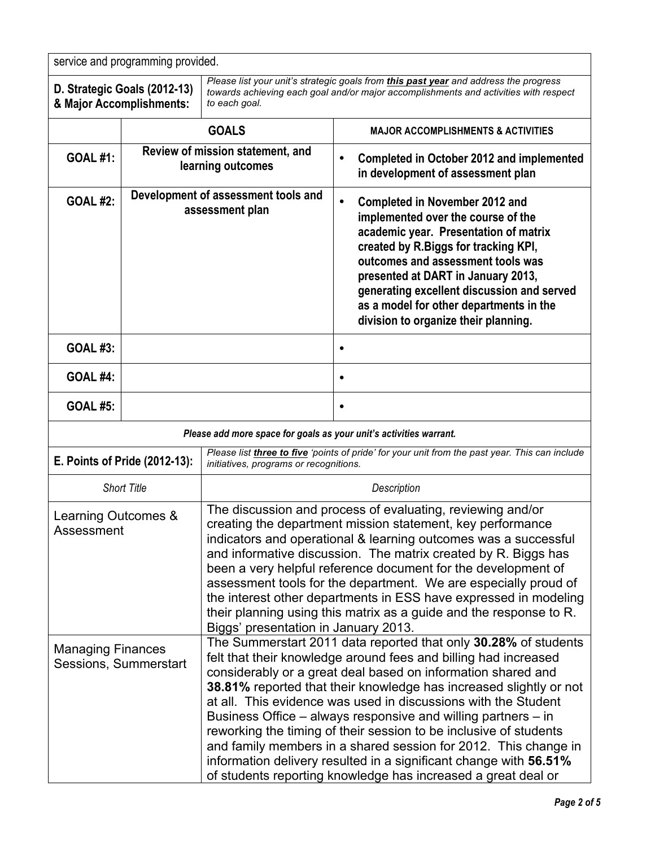| service and programming provided.                        |                                                        |                                                                                                                                                                                                                                                                                                                                                                                                                                                                                                                                                                                                                                                                                           |                                                                                                                                                                                                                                                                                                                                                                                       |  |
|----------------------------------------------------------|--------------------------------------------------------|-------------------------------------------------------------------------------------------------------------------------------------------------------------------------------------------------------------------------------------------------------------------------------------------------------------------------------------------------------------------------------------------------------------------------------------------------------------------------------------------------------------------------------------------------------------------------------------------------------------------------------------------------------------------------------------------|---------------------------------------------------------------------------------------------------------------------------------------------------------------------------------------------------------------------------------------------------------------------------------------------------------------------------------------------------------------------------------------|--|
| D. Strategic Goals (2012-13)<br>& Major Accomplishments: |                                                        | Please list your unit's strategic goals from this past year and address the progress<br>towards achieving each goal and/or major accomplishments and activities with respect<br>to each goal.                                                                                                                                                                                                                                                                                                                                                                                                                                                                                             |                                                                                                                                                                                                                                                                                                                                                                                       |  |
|                                                          | <b>GOALS</b>                                           |                                                                                                                                                                                                                                                                                                                                                                                                                                                                                                                                                                                                                                                                                           | <b>MAJOR ACCOMPLISHMENTS &amp; ACTIVITIES</b>                                                                                                                                                                                                                                                                                                                                         |  |
| <b>GOAL #1:</b>                                          | Review of mission statement, and<br>learning outcomes  |                                                                                                                                                                                                                                                                                                                                                                                                                                                                                                                                                                                                                                                                                           | <b>Completed in October 2012 and implemented</b><br>$\bullet$<br>in development of assessment plan                                                                                                                                                                                                                                                                                    |  |
| <b>GOAL #2:</b>                                          | Development of assessment tools and<br>assessment plan |                                                                                                                                                                                                                                                                                                                                                                                                                                                                                                                                                                                                                                                                                           | $\bullet$<br><b>Completed in November 2012 and</b><br>implemented over the course of the<br>academic year. Presentation of matrix<br>created by R.Biggs for tracking KPI,<br>outcomes and assessment tools was<br>presented at DART in January 2013,<br>generating excellent discussion and served<br>as a model for other departments in the<br>division to organize their planning. |  |
| <b>GOAL #3:</b>                                          |                                                        |                                                                                                                                                                                                                                                                                                                                                                                                                                                                                                                                                                                                                                                                                           | $\bullet$                                                                                                                                                                                                                                                                                                                                                                             |  |
| <b>GOAL #4:</b>                                          |                                                        |                                                                                                                                                                                                                                                                                                                                                                                                                                                                                                                                                                                                                                                                                           | $\bullet$                                                                                                                                                                                                                                                                                                                                                                             |  |
| <b>GOAL #5:</b>                                          |                                                        |                                                                                                                                                                                                                                                                                                                                                                                                                                                                                                                                                                                                                                                                                           | $\bullet$                                                                                                                                                                                                                                                                                                                                                                             |  |
|                                                          |                                                        | Please add more space for goals as your unit's activities warrant.                                                                                                                                                                                                                                                                                                                                                                                                                                                                                                                                                                                                                        |                                                                                                                                                                                                                                                                                                                                                                                       |  |
| E. Points of Pride (2012-13):                            |                                                        | Please list three to five 'points of pride' for your unit from the past year. This can include<br>initiatives, programs or recognitions.                                                                                                                                                                                                                                                                                                                                                                                                                                                                                                                                                  |                                                                                                                                                                                                                                                                                                                                                                                       |  |
| <b>Short Title</b>                                       |                                                        | Description                                                                                                                                                                                                                                                                                                                                                                                                                                                                                                                                                                                                                                                                               |                                                                                                                                                                                                                                                                                                                                                                                       |  |
| Learning Outcomes &<br>Assessment                        |                                                        | The discussion and process of evaluating, reviewing and/or<br>creating the department mission statement, key performance<br>indicators and operational & learning outcomes was a successful<br>and informative discussion. The matrix created by R. Biggs has<br>been a very helpful reference document for the development of<br>assessment tools for the department. We are especially proud of<br>the interest other departments in ESS have expressed in modeling<br>their planning using this matrix as a guide and the response to R.<br>Biggs' presentation in January 2013.                                                                                                       |                                                                                                                                                                                                                                                                                                                                                                                       |  |
| <b>Managing Finances</b><br>Sessions, Summerstart        |                                                        | The Summerstart 2011 data reported that only 30.28% of students<br>felt that their knowledge around fees and billing had increased<br>considerably or a great deal based on information shared and<br>38.81% reported that their knowledge has increased slightly or not<br>at all. This evidence was used in discussions with the Student<br>Business Office – always responsive and willing partners – in<br>reworking the timing of their session to be inclusive of students<br>and family members in a shared session for 2012. This change in<br>information delivery resulted in a significant change with 56.51%<br>of students reporting knowledge has increased a great deal or |                                                                                                                                                                                                                                                                                                                                                                                       |  |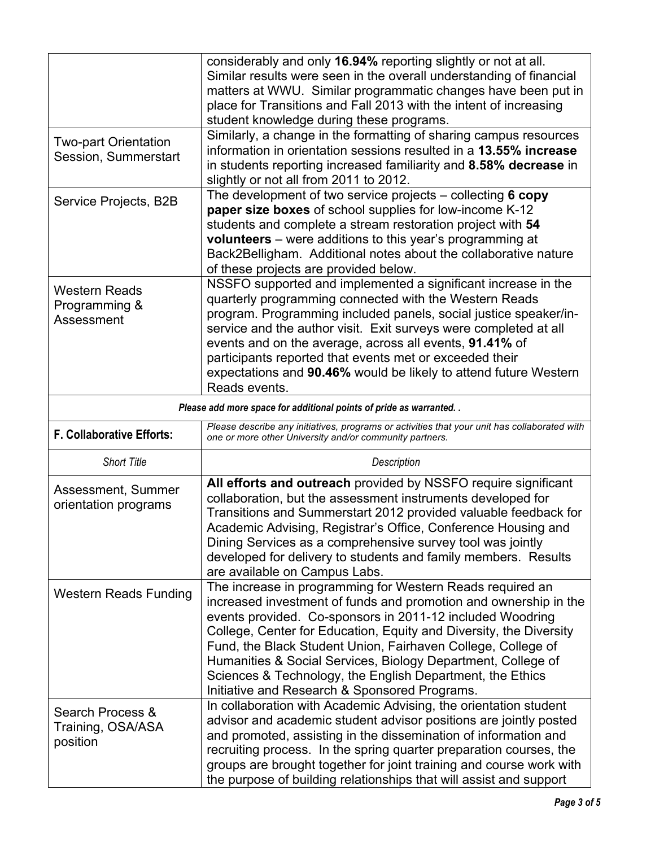|                                                                      | considerably and only 16.94% reporting slightly or not at all.<br>Similar results were seen in the overall understanding of financial<br>matters at WWU. Similar programmatic changes have been put in<br>place for Transitions and Fall 2013 with the intent of increasing<br>student knowledge during these programs.                                                                                                                                                                                        |  |  |  |
|----------------------------------------------------------------------|----------------------------------------------------------------------------------------------------------------------------------------------------------------------------------------------------------------------------------------------------------------------------------------------------------------------------------------------------------------------------------------------------------------------------------------------------------------------------------------------------------------|--|--|--|
| <b>Two-part Orientation</b><br>Session, Summerstart                  | Similarly, a change in the formatting of sharing campus resources<br>information in orientation sessions resulted in a 13.55% increase<br>in students reporting increased familiarity and 8.58% decrease in<br>slightly or not all from 2011 to 2012.                                                                                                                                                                                                                                                          |  |  |  |
| Service Projects, B2B                                                | The development of two service projects $-$ collecting 6 copy<br>paper size boxes of school supplies for low-income K-12<br>students and complete a stream restoration project with 54<br>volunteers - were additions to this year's programming at<br>Back2Belligham. Additional notes about the collaborative nature<br>of these projects are provided below.                                                                                                                                                |  |  |  |
| <b>Western Reads</b><br>Programming &<br>Assessment                  | NSSFO supported and implemented a significant increase in the<br>quarterly programming connected with the Western Reads<br>program. Programming included panels, social justice speaker/in-<br>service and the author visit. Exit surveys were completed at all<br>events and on the average, across all events, 91.41% of<br>participants reported that events met or exceeded their<br>expectations and 90.46% would be likely to attend future Western<br>Reads events.                                     |  |  |  |
| Please add more space for additional points of pride as warranted. . |                                                                                                                                                                                                                                                                                                                                                                                                                                                                                                                |  |  |  |
| F. Collaborative Efforts:                                            | Please describe any initiatives, programs or activities that your unit has collaborated with<br>one or more other University and/or community partners.                                                                                                                                                                                                                                                                                                                                                        |  |  |  |
| <b>Short Title</b>                                                   | Description                                                                                                                                                                                                                                                                                                                                                                                                                                                                                                    |  |  |  |
| Assessment, Summer<br>orientation programs                           | All efforts and outreach provided by NSSFO require significant<br>collaboration, but the assessment instruments developed for<br>Transitions and Summerstart 2012 provided valuable feedback for<br>Academic Advising, Registrar's Office, Conference Housing and<br>Dining Services as a comprehensive survey tool was jointly<br>developed for delivery to students and family members. Results<br>are available on Campus Labs.                                                                             |  |  |  |
| <b>Western Reads Funding</b>                                         | The increase in programming for Western Reads required an<br>increased investment of funds and promotion and ownership in the<br>events provided. Co-sponsors in 2011-12 included Woodring<br>College, Center for Education, Equity and Diversity, the Diversity<br>Fund, the Black Student Union, Fairhaven College, College of<br>Humanities & Social Services, Biology Department, College of<br>Sciences & Technology, the English Department, the Ethics<br>Initiative and Research & Sponsored Programs. |  |  |  |
| Search Process &<br>Training, OSA/ASA<br>position                    | In collaboration with Academic Advising, the orientation student<br>advisor and academic student advisor positions are jointly posted<br>and promoted, assisting in the dissemination of information and                                                                                                                                                                                                                                                                                                       |  |  |  |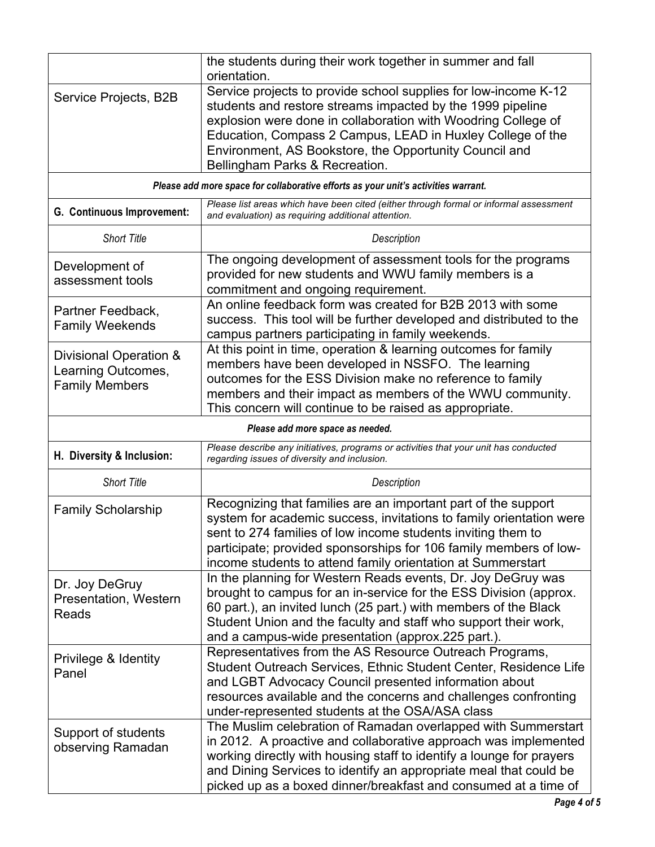|                                                                                    | the students during their work together in summer and fall<br>orientation.                                                                                                                                                                                                                                                                               |  |  |  |
|------------------------------------------------------------------------------------|----------------------------------------------------------------------------------------------------------------------------------------------------------------------------------------------------------------------------------------------------------------------------------------------------------------------------------------------------------|--|--|--|
| Service Projects, B2B                                                              | Service projects to provide school supplies for low-income K-12<br>students and restore streams impacted by the 1999 pipeline<br>explosion were done in collaboration with Woodring College of<br>Education, Compass 2 Campus, LEAD in Huxley College of the<br>Environment, AS Bookstore, the Opportunity Council and<br>Bellingham Parks & Recreation. |  |  |  |
| Please add more space for collaborative efforts as your unit's activities warrant. |                                                                                                                                                                                                                                                                                                                                                          |  |  |  |
| G. Continuous Improvement:                                                         | Please list areas which have been cited (either through formal or informal assessment<br>and evaluation) as requiring additional attention.                                                                                                                                                                                                              |  |  |  |
| <b>Short Title</b>                                                                 | Description                                                                                                                                                                                                                                                                                                                                              |  |  |  |
| Development of<br>assessment tools                                                 | The ongoing development of assessment tools for the programs<br>provided for new students and WWU family members is a<br>commitment and ongoing requirement.                                                                                                                                                                                             |  |  |  |
| Partner Feedback,<br><b>Family Weekends</b>                                        | An online feedback form was created for B2B 2013 with some<br>success. This tool will be further developed and distributed to the<br>campus partners participating in family weekends.                                                                                                                                                                   |  |  |  |
| Divisional Operation &<br>Learning Outcomes,<br><b>Family Members</b>              | At this point in time, operation & learning outcomes for family<br>members have been developed in NSSFO. The learning<br>outcomes for the ESS Division make no reference to family<br>members and their impact as members of the WWU community.<br>This concern will continue to be raised as appropriate.                                               |  |  |  |
| Please add more space as needed.                                                   |                                                                                                                                                                                                                                                                                                                                                          |  |  |  |
| H. Diversity & Inclusion:                                                          | Please describe any initiatives, programs or activities that your unit has conducted<br>regarding issues of diversity and inclusion.                                                                                                                                                                                                                     |  |  |  |
| <b>Short Title</b>                                                                 | Description                                                                                                                                                                                                                                                                                                                                              |  |  |  |
| <b>Family Scholarship</b>                                                          | Recognizing that families are an important part of the support<br>system for academic success, invitations to family orientation were<br>sent to 274 families of low income students inviting them to<br>participate; provided sponsorships for 106 family members of low-<br>income students to attend family orientation at Summerstart                |  |  |  |
| Dr. Joy DeGruy<br>Presentation, Western<br>Reads                                   | In the planning for Western Reads events, Dr. Joy DeGruy was<br>brought to campus for an in-service for the ESS Division (approx.<br>60 part.), an invited lunch (25 part.) with members of the Black<br>Student Union and the faculty and staff who support their work,<br>and a campus-wide presentation (approx.225 part.).                           |  |  |  |
| Privilege & Identity<br>Panel                                                      | Representatives from the AS Resource Outreach Programs,<br>Student Outreach Services, Ethnic Student Center, Residence Life<br>and LGBT Advocacy Council presented information about<br>resources available and the concerns and challenges confronting<br>under-represented students at the OSA/ASA class                                               |  |  |  |
| Support of students<br>observing Ramadan                                           | The Muslim celebration of Ramadan overlapped with Summerstart<br>in 2012. A proactive and collaborative approach was implemented<br>working directly with housing staff to identify a lounge for prayers<br>and Dining Services to identify an appropriate meal that could be<br>picked up as a boxed dinner/breakfast and consumed at a time of         |  |  |  |